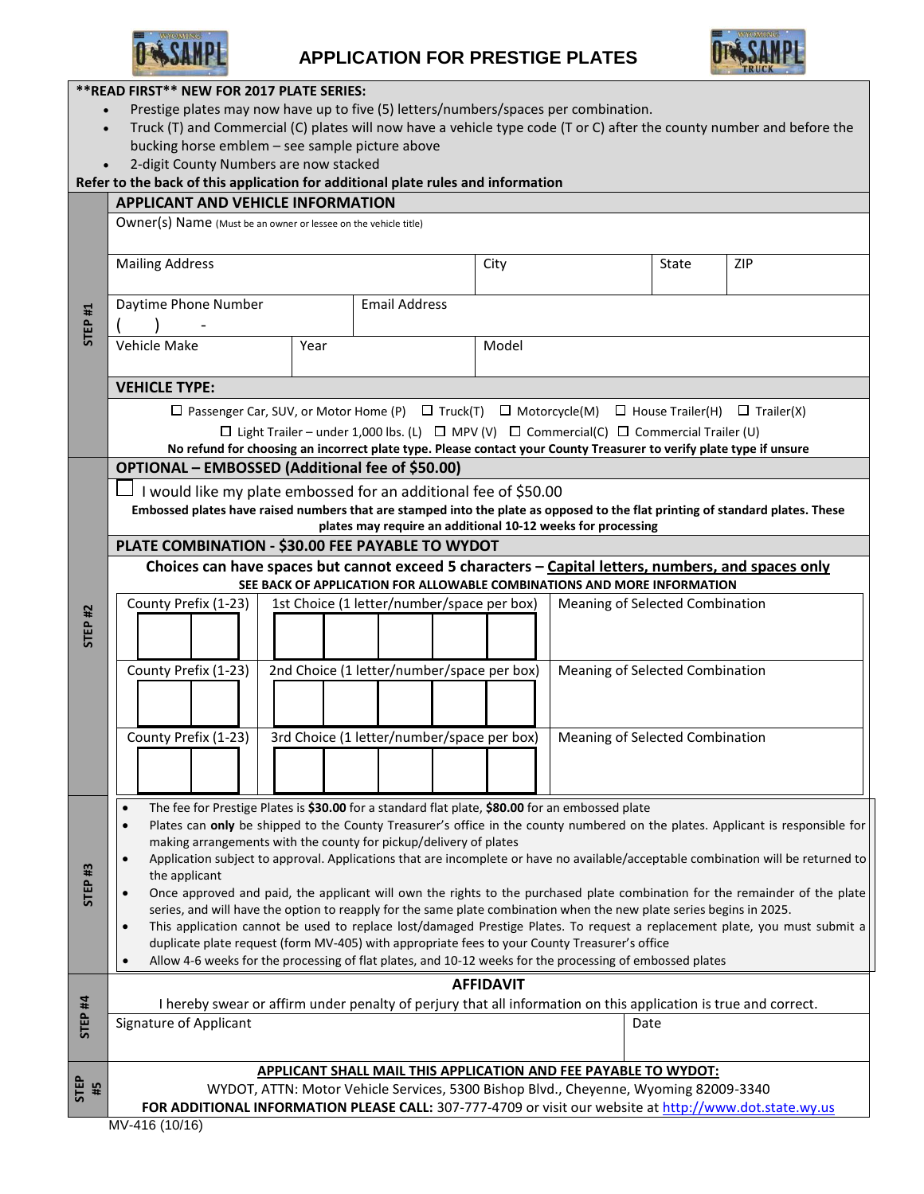

## **APPLICATION FOR PRESTIGE PLATES**



| **READ FIRST** NEW FOR 2017 PLATE SERIES:                                                                                          |                                                                                                                                                                 |                                                                                                                     |       |            |  |
|------------------------------------------------------------------------------------------------------------------------------------|-----------------------------------------------------------------------------------------------------------------------------------------------------------------|---------------------------------------------------------------------------------------------------------------------|-------|------------|--|
| Prestige plates may now have up to five (5) letters/numbers/spaces per combination.                                                |                                                                                                                                                                 |                                                                                                                     |       |            |  |
| Truck (T) and Commercial (C) plates will now have a vehicle type code (T or C) after the county number and before the<br>$\bullet$ |                                                                                                                                                                 |                                                                                                                     |       |            |  |
|                                                                                                                                    | bucking horse emblem - see sample picture above                                                                                                                 |                                                                                                                     |       |            |  |
| 2-digit County Numbers are now stacked                                                                                             |                                                                                                                                                                 |                                                                                                                     |       |            |  |
| Refer to the back of this application for additional plate rules and information                                                   |                                                                                                                                                                 |                                                                                                                     |       |            |  |
| <b>APPLICANT AND VEHICLE INFORMATION</b>                                                                                           |                                                                                                                                                                 |                                                                                                                     |       |            |  |
| STEP <sub>#1</sub>                                                                                                                 | Owner(s) Name (Must be an owner or lessee on the vehicle title)                                                                                                 |                                                                                                                     |       |            |  |
|                                                                                                                                    | <b>Mailing Address</b>                                                                                                                                          | City                                                                                                                | State | <b>ZIP</b> |  |
|                                                                                                                                    | <b>Email Address</b><br>Daytime Phone Number                                                                                                                    |                                                                                                                     |       |            |  |
|                                                                                                                                    | Vehicle Make<br>Year                                                                                                                                            | Model                                                                                                               |       |            |  |
|                                                                                                                                    | <b>VEHICLE TYPE:</b>                                                                                                                                            |                                                                                                                     |       |            |  |
|                                                                                                                                    | $\Box$ Passenger Car, SUV, or Motor Home (P) $\Box$ Truck(T) $\Box$ Motorcycle(M) $\Box$ House Trailer(H) $\Box$ Trailer(X)                                     |                                                                                                                     |       |            |  |
|                                                                                                                                    | $\Box$ Light Trailer – under 1,000 lbs. (L) $\Box$ MPV (V) $\Box$ Commercial(C) $\Box$ Commercial Trailer (U)                                                   |                                                                                                                     |       |            |  |
|                                                                                                                                    |                                                                                                                                                                 | No refund for choosing an incorrect plate type. Please contact your County Treasurer to verify plate type if unsure |       |            |  |
| <b>STEP #2</b>                                                                                                                     | OPTIONAL - EMBOSSED (Additional fee of \$50.00)                                                                                                                 |                                                                                                                     |       |            |  |
|                                                                                                                                    | I would like my plate embossed for an additional fee of \$50.00                                                                                                 |                                                                                                                     |       |            |  |
|                                                                                                                                    | Embossed plates have raised numbers that are stamped into the plate as opposed to the flat printing of standard plates. These                                   |                                                                                                                     |       |            |  |
|                                                                                                                                    | plates may require an additional 10-12 weeks for processing                                                                                                     |                                                                                                                     |       |            |  |
|                                                                                                                                    | PLATE COMBINATION - \$30.00 FEE PAYABLE TO WYDOT                                                                                                                |                                                                                                                     |       |            |  |
|                                                                                                                                    | Choices can have spaces but cannot exceed 5 characters - Capital letters, numbers, and spaces only                                                              |                                                                                                                     |       |            |  |
|                                                                                                                                    | SEE BACK OF APPLICATION FOR ALLOWABLE COMBINATIONS AND MORE INFORMATION                                                                                         |                                                                                                                     |       |            |  |
|                                                                                                                                    | County Prefix (1-23)<br>1st Choice (1 letter/number/space per box)<br>Meaning of Selected Combination                                                           |                                                                                                                     |       |            |  |
|                                                                                                                                    |                                                                                                                                                                 |                                                                                                                     |       |            |  |
|                                                                                                                                    |                                                                                                                                                                 |                                                                                                                     |       |            |  |
|                                                                                                                                    | 2nd Choice (1 letter/number/space per box)<br>County Prefix (1-23)<br>Meaning of Selected Combination                                                           |                                                                                                                     |       |            |  |
|                                                                                                                                    |                                                                                                                                                                 |                                                                                                                     |       |            |  |
|                                                                                                                                    |                                                                                                                                                                 |                                                                                                                     |       |            |  |
|                                                                                                                                    |                                                                                                                                                                 |                                                                                                                     |       |            |  |
|                                                                                                                                    | 3rd Choice (1 letter/number/space per box)<br>County Prefix (1-23)                                                                                              | Meaning of Selected Combination                                                                                     |       |            |  |
|                                                                                                                                    |                                                                                                                                                                 |                                                                                                                     |       |            |  |
|                                                                                                                                    |                                                                                                                                                                 |                                                                                                                     |       |            |  |
| <b>STEP#3</b>                                                                                                                      | The fee for Prestige Plates is \$30.00 for a standard flat plate, \$80.00 for an embossed plate<br>$\bullet$                                                    |                                                                                                                     |       |            |  |
|                                                                                                                                    | Plates can only be shipped to the County Treasurer's office in the county numbered on the plates. Applicant is responsible for<br>$\bullet$                     |                                                                                                                     |       |            |  |
|                                                                                                                                    | making arrangements with the county for pickup/delivery of plates                                                                                               |                                                                                                                     |       |            |  |
|                                                                                                                                    | Application subject to approval. Applications that are incomplete or have no available/acceptable combination will be returned to<br>$\bullet$<br>the applicant |                                                                                                                     |       |            |  |
|                                                                                                                                    | Once approved and paid, the applicant will own the rights to the purchased plate combination for the remainder of the plate<br>$\bullet$                        |                                                                                                                     |       |            |  |
|                                                                                                                                    | series, and will have the option to reapply for the same plate combination when the new plate series begins in 2025.                                            |                                                                                                                     |       |            |  |
|                                                                                                                                    | This application cannot be used to replace lost/damaged Prestige Plates. To request a replacement plate, you must submit a<br>$\bullet$                         |                                                                                                                     |       |            |  |
|                                                                                                                                    | duplicate plate request (form MV-405) with appropriate fees to your County Treasurer's office                                                                   |                                                                                                                     |       |            |  |
|                                                                                                                                    | Allow 4-6 weeks for the processing of flat plates, and 10-12 weeks for the processing of embossed plates<br>$\bullet$                                           |                                                                                                                     |       |            |  |
| STEP <sub>#4</sub>                                                                                                                 | <b>AFFIDAVIT</b>                                                                                                                                                |                                                                                                                     |       |            |  |
|                                                                                                                                    | I hereby swear or affirm under penalty of perjury that all information on this application is true and correct.                                                 |                                                                                                                     |       |            |  |
|                                                                                                                                    | Signature of Applicant                                                                                                                                          |                                                                                                                     | Date  |            |  |
|                                                                                                                                    |                                                                                                                                                                 |                                                                                                                     |       |            |  |
|                                                                                                                                    | <b>APPLICANT SHALL MAIL THIS APPLICATION AND FEE PAYABLE TO WYDOT:</b>                                                                                          |                                                                                                                     |       |            |  |
| <b>STEP</b><br>#5                                                                                                                  | WYDOT, ATTN: Motor Vehicle Services, 5300 Bishop Blvd., Cheyenne, Wyoming 82009-3340                                                                            |                                                                                                                     |       |            |  |
|                                                                                                                                    | FOR ADDITIONAL INFORMATION PLEASE CALL: 307-777-4709 or visit our website at http://www.dot.state.wy.us                                                         |                                                                                                                     |       |            |  |
|                                                                                                                                    | MV-416 (10/16)                                                                                                                                                  |                                                                                                                     |       |            |  |